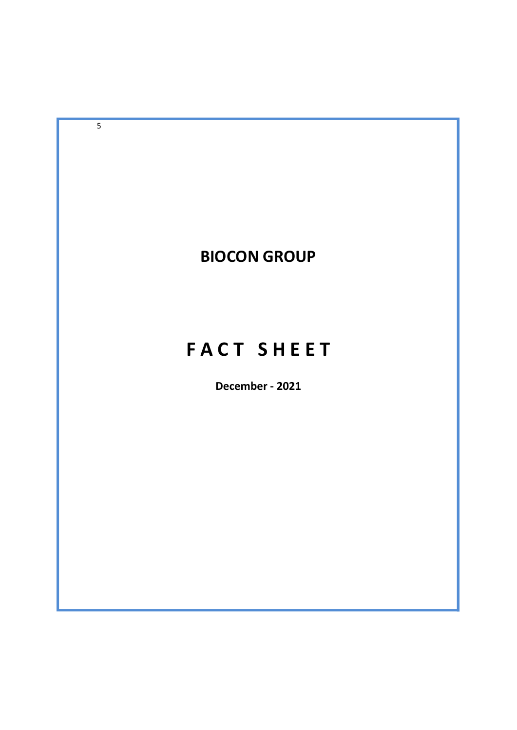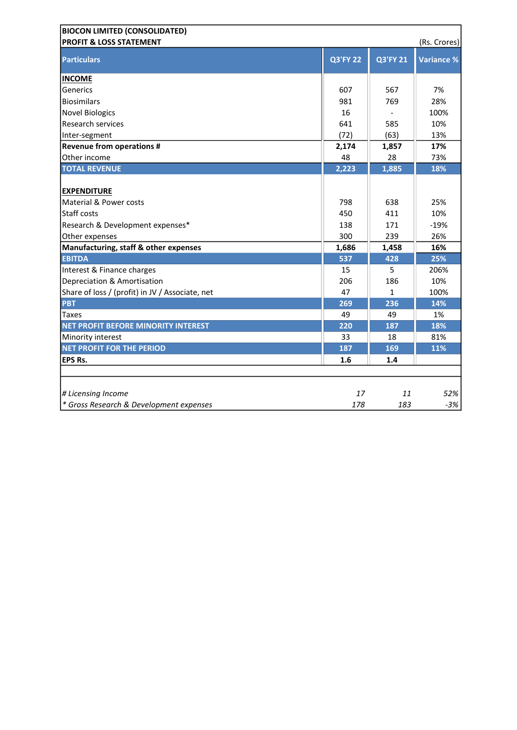| <b>BIOCON LIMITED (CONSOLIDATED)</b>            |                 |                 |                   |
|-------------------------------------------------|-----------------|-----------------|-------------------|
| <b>PROFIT &amp; LOSS STATEMENT</b>              |                 |                 | (Rs. Crores)      |
| <b>Particulars</b>                              | <b>Q3'FY 22</b> | <b>Q3'FY 21</b> | <b>Variance %</b> |
| <b>INCOME</b>                                   |                 |                 |                   |
| Generics                                        | 607             | 567             | 7%                |
| <b>Biosimilars</b>                              | 981             | 769             | 28%               |
| <b>Novel Biologics</b>                          | 16              |                 | 100%              |
| <b>Research services</b>                        | 641             | 585             | 10%               |
| Inter-segment                                   | (72)            | (63)            | 13%               |
| <b>Revenue from operations #</b>                | 2,174           | 1,857           | 17%               |
| Other income                                    | 48              | 28              | 73%               |
| <b>TOTAL REVENUE</b>                            | 2,223           | 1,885           | 18%               |
| <b>EXPENDITURE</b>                              |                 |                 |                   |
| Material & Power costs                          | 798             | 638             | 25%               |
| Staff costs                                     | 450             | 411             | 10%               |
| Research & Development expenses*                | 138             | 171             | $-19%$            |
| Other expenses                                  | 300             | 239             | 26%               |
| Manufacturing, staff & other expenses           | 1,686           | 1,458           | 16%               |
| <b>EBITDA</b>                                   | 537             | 428             | 25%               |
| Interest & Finance charges                      | 15              | 5               | 206%              |
| Depreciation & Amortisation                     | 206             | 186             | 10%               |
| Share of loss / (profit) in JV / Associate, net | 47              | $\mathbf{1}$    | 100%              |
| <b>PBT</b>                                      | 269             | 236             | 14%               |
| Taxes                                           | 49              | 49              | 1%                |
| NET PROFIT BEFORE MINORITY INTEREST             | 220             | 187             | 18%               |
| Minority interest                               | 33              | 18              | 81%               |
| <b>NET PROFIT FOR THE PERIOD</b>                | 187             | 169             | 11%               |
| <b>EPS Rs.</b>                                  | 1.6             | 1.4             |                   |
|                                                 |                 |                 |                   |
| # Licensing Income                              | 17              | 11              | 52%               |
| * Gross Research & Development expenses         | 178             | 183             | $-3%$             |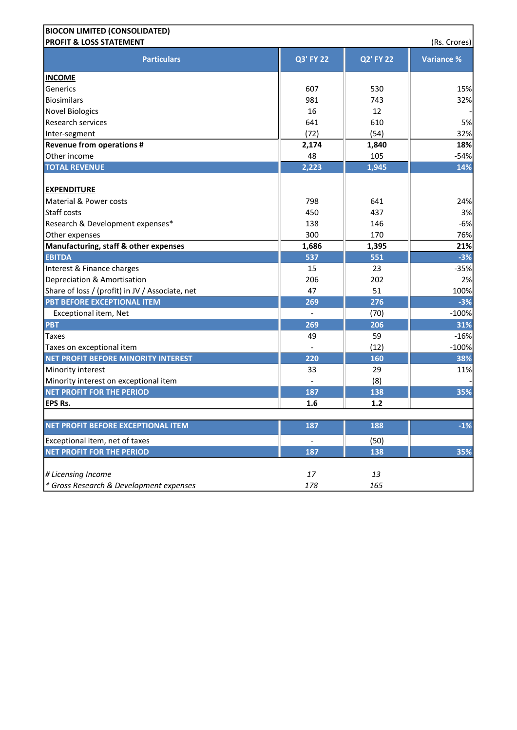| <b>BIOCON LIMITED (CONSOLIDATED)</b>            |                          |                  |                   |
|-------------------------------------------------|--------------------------|------------------|-------------------|
| <b>PROFIT &amp; LOSS STATEMENT</b>              |                          |                  | (Rs. Crores)      |
| <b>Particulars</b>                              | <b>Q3' FY 22</b>         | <b>Q2' FY 22</b> | <b>Variance %</b> |
| <b>INCOME</b>                                   |                          |                  |                   |
| Generics                                        | 607                      | 530              | 15%               |
| Biosimilars                                     | 981                      | 743              | 32%               |
| <b>Novel Biologics</b>                          | 16                       | 12               |                   |
| <b>Research services</b>                        | 641                      | 610              | 5%                |
| Inter-segment                                   | (72)                     | (54)             | 32%               |
| <b>Revenue from operations #</b>                | 2,174                    | 1,840            | 18%               |
| Other income                                    | 48                       | 105              | $-54%$            |
| <b>TOTAL REVENUE</b>                            | 2,223                    | 1,945            | 14%               |
| <b>EXPENDITURE</b>                              |                          |                  |                   |
| Material & Power costs                          | 798                      | 641              | 24%               |
| Staff costs                                     | 450                      | 437              | 3%                |
| Research & Development expenses*                | 138                      | 146              | $-6%$             |
| Other expenses                                  | 300                      | 170              | 76%               |
| Manufacturing, staff & other expenses           | 1,686                    | 1,395            | 21%               |
| <b>EBITDA</b>                                   | 537                      | 551              | $-3%$             |
| Interest & Finance charges                      | 15                       | 23               | $-35%$            |
| Depreciation & Amortisation                     | 206                      | 202              | 2%                |
| Share of loss / (profit) in JV / Associate, net | 47                       | 51               | 100%              |
| PBT BEFORE EXCEPTIONAL ITEM                     | 269                      | 276              | $-3%$             |
| Exceptional item, Net                           |                          | (70)             | $-100%$           |
| <b>PBT</b>                                      | 269                      | 206              | 31%               |
| Taxes                                           | 49                       | 59               | $-16%$            |
| Taxes on exceptional item                       | $\overline{\phantom{a}}$ | (12)             | $-100%$           |
| NET PROFIT BEFORE MINORITY INTEREST             | 220                      | 160              | 38%               |
| Minority interest                               | 33                       | 29               | 11%               |
| Minority interest on exceptional item           |                          | (8)              |                   |
| <b>NET PROFIT FOR THE PERIOD</b>                | 187                      | 138              | 35%               |
| <b>EPS Rs.</b>                                  | 1.6                      | $1.2$            |                   |
| NET PROFIT BEFORE EXCEPTIONAL ITEM              | 187                      | 188              | $-1%$             |
| Exceptional item, net of taxes                  | $\overline{\phantom{a}}$ | (50)             |                   |
| <b>NET PROFIT FOR THE PERIOD</b>                | 187                      | 138              | 35%               |
|                                                 |                          |                  |                   |
| # Licensing Income                              | 17                       | 13               |                   |
| * Gross Research & Development expenses         | 178                      | 165              |                   |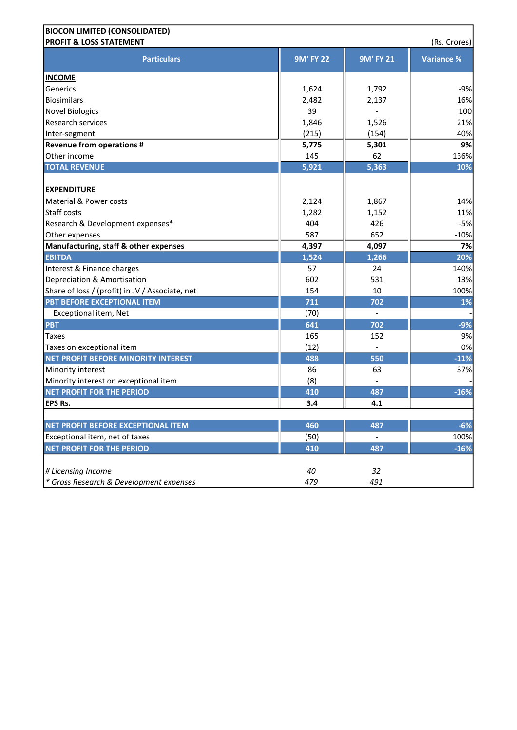| <b>BIOCON LIMITED (CONSOLIDATED)</b>            |                  |                  |                   |
|-------------------------------------------------|------------------|------------------|-------------------|
| <b>PROFIT &amp; LOSS STATEMENT</b>              |                  |                  | (Rs. Crores)      |
| <b>Particulars</b>                              | <b>9M' FY 22</b> | <b>9M' FY 21</b> | <b>Variance %</b> |
| <b>INCOME</b>                                   |                  |                  |                   |
| Generics                                        | 1,624            | 1,792            | $-9%$             |
| Biosimilars                                     | 2,482            | 2,137            | 16%               |
| <b>Novel Biologics</b>                          | 39               |                  | 100               |
| <b>Research services</b>                        | 1,846            | 1,526            | 21%               |
| Inter-segment                                   | (215)            | (154)            | 40%               |
| <b>Revenue from operations #</b>                | 5,775            | 5,301            | 9%                |
| Other income                                    | 145              | 62               | 136%              |
| <b>TOTAL REVENUE</b>                            | 5,921            | 5,363            | 10%               |
| <b>EXPENDITURE</b>                              |                  |                  |                   |
| Material & Power costs                          | 2,124            | 1,867            | 14%               |
| Staff costs                                     | 1,282            | 1,152            | 11%               |
| Research & Development expenses*                | 404              | 426              | $-5%$             |
| Other expenses                                  | 587              | 652              | $-10%$            |
| Manufacturing, staff & other expenses           | 4,397            | 4,097            | 7%                |
| <b>EBITDA</b>                                   | 1,524            | 1,266            | 20%               |
| Interest & Finance charges                      | 57               | 24               | 140%              |
| Depreciation & Amortisation                     | 602              | 531              | 13%               |
| Share of loss / (profit) in JV / Associate, net | 154              | 10               | 100%              |
| PBT BEFORE EXCEPTIONAL ITEM                     | 711              | 702              | 1%                |
| Exceptional item, Net                           | (70)             |                  |                   |
| <b>PBT</b>                                      | 641              | 702              | $-9%$             |
| <b>Taxes</b>                                    | 165              | 152              | 9%                |
| Taxes on exceptional item                       | (12)             |                  | 0%                |
| NET PROFIT BEFORE MINORITY INTEREST             | 488              | 550              | $-11%$            |
| Minority interest                               | 86               | 63               | 37%               |
| Minority interest on exceptional item           | (8)              |                  |                   |
| <b>NET PROFIT FOR THE PERIOD</b>                | 410              | 487              | $-16%$            |
| <b>EPS Rs.</b>                                  | 3.4              | 4.1              |                   |
| NET PROFIT BEFORE EXCEPTIONAL ITEM              | 460              | 487              | $-6%$             |
| Exceptional item, net of taxes                  | (50)             |                  | 100%              |
| <b>NET PROFIT FOR THE PERIOD</b>                | 410              | 487              | $-16%$            |
| # Licensing Income                              | 40               | 32               |                   |
| * Gross Research & Development expenses         | 479              | 491              |                   |